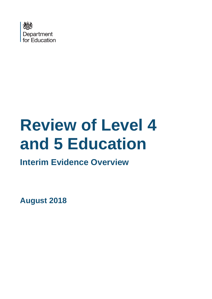

# **Review of Level 4 and 5 Education**

# **Interim Evidence Overview**

**August 2018**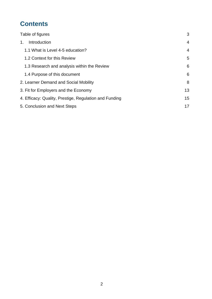# **Contents**

| Table of figures                                       | 3              |
|--------------------------------------------------------|----------------|
| Introduction<br>1.                                     | 4              |
| 1.1 What is Level 4-5 education?                       | $\overline{4}$ |
| 1.2 Context for this Review                            | 5              |
| 1.3 Research and analysis within the Review            | 6              |
| 1.4 Purpose of this document                           | 6              |
| 2. Learner Demand and Social Mobility                  | 8              |
| 3. Fit for Employers and the Economy                   | 13             |
| 4. Efficacy: Quality, Prestige, Regulation and Funding | 15             |
| 5. Conclusion and Next Steps                           | 17             |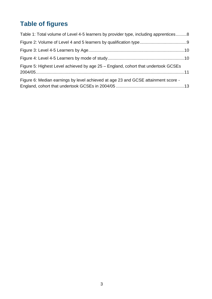# <span id="page-2-0"></span>**Table of figures**

| Table 1: Total volume of Level 4-5 learners by provider type, including apprentices8 |  |
|--------------------------------------------------------------------------------------|--|
|                                                                                      |  |
|                                                                                      |  |
|                                                                                      |  |
| Figure 5: Highest Level achieved by age 25 – England, cohort that undertook GCSEs    |  |
| Figure 6: Median earnings by level achieved at age 23 and GCSE attainment score -    |  |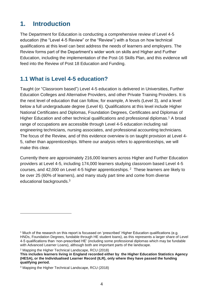# <span id="page-3-0"></span>**1. Introduction**

The Department for Education is conducting a comprehensive review of Level 4-5 education (the "Level 4-5 Review" or the "Review") with a focus on how technical qualifications at this level can best address the needs of learners and employers. The Review forms part of the Department's wider work on skills and Higher and Further Education, including the implementation of the Post-16 Skills Plan, and this evidence will feed into the Review of Post 18 Education and Funding.

# <span id="page-3-1"></span>**1.1 What is Level 4-5 education?**

Taught (or "Classroom based") Level 4-5 education is delivered in Universities, Further Education Colleges and Alternative Providers, and other Private Training Providers. It is the next level of education that can follow, for example, A levels (Level 3), and a level below a full undergraduate degree (Level 6). Qualifications at this level include Higher National Certificates and Diplomas, Foundation Degrees, Certificates and Diplomas of Higher Education and other technical qualifications and professional diplomas.<sup>1</sup> A broad range of occupations are accessible through Level 4-5 education including rail engineering technicians, nursing associates, and professional accounting technicians. The focus of the Review, and of this evidence overview is on taught provision at Level 4- 5, rather than apprenticeships. Where our analysis refers to apprenticeships, we will make this clear.

Currently there are approximately 216,000 learners across Higher and Further Education providers at Level 4-5, including 174,000 learners studying classroom based Level 4-5 courses, and  $42,000$  on Level 4-5 higher apprenticeships. <sup>2</sup> These learners are likely to be over 25 (60% of learners), and many study part time and come from diverse educational backgrounds.<sup>3</sup>

<sup>2</sup> Mapping the Higher Technical Landscape, RCU (2018)

<sup>1</sup> Much of the research on this report is focussed on 'prescribed' Higher Education qualifications (e.g. HNDs, Foundation Degrees, fundable through HE student loans), as this represents a larger share of Level 4-5 qualifications than 'non-prescribed HE' (including some professional diplomas which may be fundable with Advanced Learner Loans), although both are important parts of the landscape.

**This includes learners living in England recorded either by the Higher Education Statistics Agency (HESA), or the Individualised Learner Record (ILR), only where they have passed the funding qualifying period.**

<sup>3</sup> Mapping the Higher Technical Landscape, RCU (2018)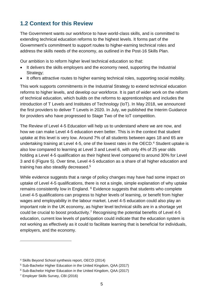# <span id="page-4-0"></span>**1.2 Context for this Review**

The Government wants our workforce to have world-class skills, and is committed to extending technical education reforms to the highest levels. It forms part of the Government's commitment to support routes to higher-earning technical roles and address the skills needs of the economy, as outlined in the Post-16 Skills Plan.

Our ambition is to reform higher level technical education so that:

- It delivers the skills employers and the economy need, supporting the Industrial Strategy;
- It offers attractive routes to higher earning technical roles, supporting social mobility.

This work supports commitments in the Industrial Strategy to extend technical education reforms to higher levels, and develop our workforce. It is part of wider work on the reform of technical education, which builds on the reforms to apprenticeships and includes the introduction of T Levels and Institutes of Technology (IoT). In May 2018, we announced the first providers to deliver T Levels in 2020. In July, we published the Interim Guidance for providers who have progressed to Stage Two of the IoT competition.

The Review of Level 4-5 Education will help us to understand where we are now, and how we can make Level 4-5 education even better. This is in the context that student uptake at this level is very low. Around 7% of all students between ages 18 and 65 are undertaking training at Level 4-5, one of the lowest rates in the OECD.<sup>4</sup> Student uptake is also low compared to learning at Level 3 and Level 6, with only 4% of 25 year olds holding a Level 4-5 qualification as their highest level compared to around 30% for Level 3 and 6 [\(Figure 5\)](#page-10-0). Over time, Level 4-5 education as a share of all higher education and training has also steadily decreased.<sup>5</sup>

While evidence suggests that a range of policy changes may have had some impact on uptake of Level 4-5 qualifications, there is not a single, simple explanation of why uptake remains consistently low in England. <sup>6</sup> Evidence suggests that students who complete Level 4-5 qualifications can progress to higher levels of learning, or benefit from higher wages and employability in the labour market. Level 4-5 education could also play an important role in the UK economy, as higher level technical skills are in a shortage yet could be crucial to boost productivity.<sup>7</sup> Recognising the potential benefits of Level 4-5 education, current low levels of participation could indicate that the education system is not working as effectively as it could to facilitate learning that is beneficial for individuals, employers, and the economy.

<sup>4</sup> Skills Beyond School synthesis report, OECD (2014)

<sup>5</sup> Sub-Bachelor Higher Education in the United Kingdom, QAA (2017)

<sup>6</sup> Sub-Bachelor Higher Education in the United Kingdom, QAA (2017)

<sup>7</sup> Employer Skills Survey, CBI (2016)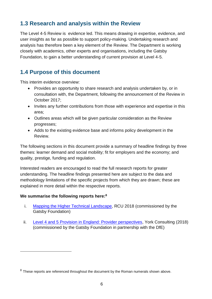# <span id="page-5-0"></span>**1.3 Research and analysis within the Review**

The Level 4-5 Review is evidence led. This means drawing in expertise, evidence, and user insights as far as possible to support policy-making. Undertaking research and analysis has therefore been a key element of the Review. The Department is working closely with academics, other experts and organisations, including the Gatsby Foundation, to gain a better understanding of current provision at Level 4-5.

# <span id="page-5-1"></span>**1.4 Purpose of this document**

This interim evidence overview:

- Provides an opportunity to share research and analysis undertaken by, or in consultation with, the Department, following the announcement of the Review in October 2017;
- Invites any further contributions from those with experience and expertise in this area;
- Outlines areas which will be given particular consideration as the Review progresses;
- Adds to the existing evidence base and informs policy development in the Review.

The following sections in this document provide a summary of headline findings by three themes: learner demand and social mobility; fit for employers and the economy; and quality, prestige, funding and regulation.

Interested readers are encouraged to read the full research reports for greater understanding. The headline findings presented here are subject to the data and methodology limitations of the specific projects from which they are drawn; these are explained in more detail within the respective reports.

## **We summarise the following reports here:<sup>8</sup>**

- i. [Mapping the Higher Technical Landscape,](http://www.gatsby.org.uk/uploads/education/reports/pdf/mapping-the-higher-technical-landscape-final-version.pdf) RCU 2018 (commissioned by the Gatsby Foundation)
- ii. [Level 4 and 5 Provision in England: Provider perspectives,](http://www.gatsby.org.uk/uploads/education/york-consulting-level-4-and-5-provision-in-england-provider-perspectives-2018.pdf) York Consulting (2018) (commissioned by the Gatsby Foundation in partnership with the DfE)

 $8$  These reports are referenced throughout the document by the Roman numerals shown above.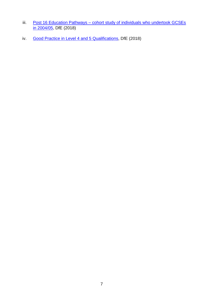- iii. Post 16 Education Pathways cohort study of individuals who undertook GCSEs [in 2004/05,](https://www.gov.uk/government/publications/post-16-education-highest-level-of-achievement-by-age-25) DfE (2018)
- iv. [Good Practice in Level 4 and 5 Qualifications,](https://www.gov.uk/government/publications/good-practice-in-level-4-and-5-qualifications) DfE (2018)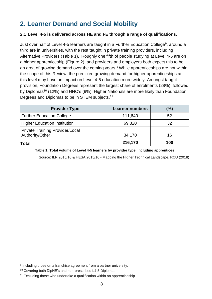# <span id="page-7-0"></span>**2. Learner Demand and Social Mobility**

## **2.1 Level 4-5 is delivered across HE and FE through a range of qualifications.**

Just over half of Level 4-5 learners are taught in a Further Education College<sup>9</sup>, around a third are in universities, with the rest taught in private training providers, including Alternative Providers [\(Table 1\)](#page-7-1). <sup>i</sup> Roughly one fifth of people studying at Level 4-5 are on a higher apprenticeship [\(Figure 2\)](#page-8-0), and providers and employers both expect this to be an area of growing demand over the coming years.<sup>ii</sup> While apprenticeships are not within the scope of this Review, the predicted growing demand for higher apprenticeships at this level may have an impact on Level 4-5 education more widely. Amongst taught provision, Foundation Degrees represent the largest share of enrolments (28%), followed by Diplomas<sup>10</sup> (12%) and HNC's (9%). Higher Nationals are more likely than Foundation Degrees and Diplomas to be in STEM subjects.<sup>11</sup>

| <b>Provider Type</b>                                      | <b>Learner numbers</b> | (%) |
|-----------------------------------------------------------|------------------------|-----|
| <b>Further Education College</b>                          | 111,640                | 52  |
| <b>Higher Education Institution</b>                       | 69,820                 | 32  |
| <b>Private Training Provider/Local</b><br>Authority/Other | 34,170                 | 16  |
| Total                                                     | 216,170                | 100 |

#### <span id="page-7-1"></span>**Table 1: Total volume of Level 4-5 learners by provider type, including apprentices**

Source: ILR 2015/16 & HESA 2015/16 - Mapping the Higher Technical Landscape, RCU (2018)

<sup>&</sup>lt;sup>9</sup> Including those on a franchise agreement from a partner university.

<sup>10</sup> Covering both DipHE's and non-prescribed L4-5 Diplomas

<sup>&</sup>lt;sup>11</sup> Excluding those who undertake a qualification within an apprenticeship.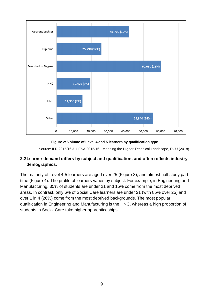

#### **Figure 2: Volume of Level 4 and 5 learners by qualification type**

Source: ILR 2015/16 & HESA 2015/16 - Mapping the Higher Technical Landscape, RCU (2018)

# <span id="page-8-0"></span>**2.2Learner demand differs by subject and qualification, and often reflects industry demographics.**

The majority of Level 4-5 learners are aged over 25 (Figure 3), and almost half study part time (Figure 4). The profile of learners varies by subject. For example, in Engineering and Manufacturing, 35% of students are under 21 and 15% come from the most deprived areas. In contrast, only 6% of Social Care learners are under 21 (with 85% over 25) and over 1 in 4 (26%) come from the most deprived backgrounds. The most popular qualification in Engineering and Manufacturing is the HNC, whereas a high proportion of students in Social Care take higher apprenticeships.<sup>i</sup>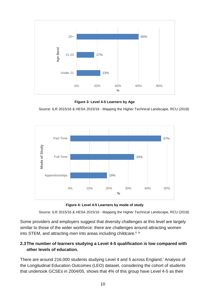

**Figure 3: Level 4-5 Learners by Age**

<span id="page-9-0"></span>Source: ILR 2015/16 & HESA 2015/16 - Mapping the Higher Technical Landscape, RCU (2018)



**Figure 4: Level 4-5 Learners by mode of study**

Source: ILR 2015/16 & HESA 2015/16 - Mapping the Higher Technical Landscape, RCU (2018)

<span id="page-9-1"></span>Some providers and employers suggest that diversity challenges at this level are largely similar to those of the wider workforce: there are challenges around attracting women into STEM, and attracting men into areas including childcare.<sup>ii, iv</sup>

# **2.3The number of learners studying a Level 4-5 qualification is low compared with other levels of education.**

There are around 216,000 students studying Level 4 and 5 across England.<sup>i</sup> Analysis of the Longitudinal Education Outcomes (LEO) dataset, considering the cohort of students that undertook GCSEs in 2004/05, shows that 4% of this group have Level 4-5 as their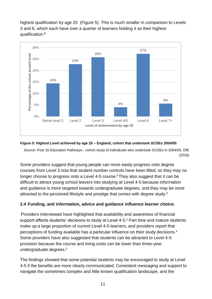highest qualification by age 25 [\(Figure 5\)](#page-10-0). This is much smaller in comparison to Levels 3 and 6, which each have over a quarter of learners holding it as their highest qualification.<sup>iii</sup>



#### <span id="page-10-0"></span>**Figure 5: Highest Level achieved by age 25 – England, cohort that undertook GCSEs 2004/05**

Source: Post 16 Education Pathways - cohort study of individuals who undertook GCSEs in 2004/05, DfE (2018)

Some providers suggest that young people can more easily progress onto degree courses from Level 3 now that student number controls have been lifted, so they may no longer choose to progress onto a Level 4-5 course.<sup>ii</sup> They also suggest that it can be difficult to attract young school leavers into studying at Level 4-5 because information and guidance is more targeted towards undergraduate degrees, and they may be more attracted to the perceived lifestyle and prestige that comes with degree study.<sup>ii</sup>

# **2.4 Funding, and information, advice and guidance influence learner choice.**

Providers interviewed have highlighted that availability and awareness of financial support affects students' decisions to study at Level 4-5.<sup>ii</sup> Part time and mature students make up a large proportion of current Level 4-5 learners, and providers report that perceptions of funding available has a particular influence on their study decisions.<sup>ii</sup> Some providers have also suggested that students can be attracted to Level 4-5 provision because the course and living costs can be lower than three-year undergraduate degrees.<sup>ii</sup>

The findings showed that some potential students may be encouraged to study at Level 4-5 if the benefits are more clearly communicated. Consistent messaging and support to navigate the sometimes complex and little known qualification landscape, and the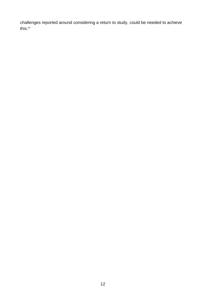challenges reported around considering a return to study, could be needed to achieve this.<sup>iv</sup>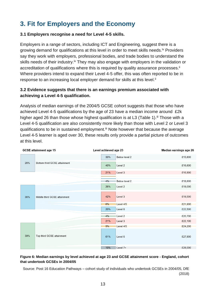# <span id="page-12-0"></span>**3. Fit for Employers and the Economy**

## **3.1 Employers recognise a need for Level 4-5 skills.**

Employers in a range of sectors, including ICT and Engineering, suggest there is a growing demand for qualifications at this level in order to meet skills needs.iv Providers say they work with employers, professional bodies, and trade bodies to understand the skills needs of their industry.<sup>iv</sup> They may also engage with employers in the validation or accreditation of qualifications where this is required by quality assurance processes.<sup>ii</sup> Where providers intend to expand their Level 4-5 offer, this was often reported to be in response to an increasing local employer demand for skills at this level.<sup>ii</sup>

## **3.2 Evidence suggests that there is an earnings premium associated with achieving a Level 4-5 qualification.**

Analysis of median earnings of the 2004/5 GCSE cohort suggests that those who have achieved Level 4-5 qualifications by the age of 23 have a median income around £2k higher aged 26 than those whose highest qualification is at L3 [\(Table 1\)](#page-7-1).<sup>iii</sup> Those with a Level 4-5 qualification are also consistently more likely than those with Level 2 or Level 3 qualifications to be in sustained employment.<sup>iii</sup> Note however that because the average Level 4-5 learner is aged over 30, these results only provide a partial picture of outcomes at this level.

|  |     | <b>GCSE attainment age 15</b> | Level achieved age 23 |                | Median earnings age 26 |
|--|-----|-------------------------------|-----------------------|----------------|------------------------|
|  |     |                               | 33%                   | Below level 2  | £15,800                |
|  | 26% | Bottom third GCSE attainment  | 40%                   | Level 2        | £16,600                |
|  |     |                               | 21%                   | Level 3        | £16,900                |
|  |     |                               | 4%                    | Below level 2  | £18,600                |
|  |     |                               | 26%                   | Level 2        | £19,000                |
|  | 36% | Middle third GCSE attainment  | 42%                   | Level 3        | £19,500                |
|  |     |                               | $6\%$                 | Level 4/5      | £21,900                |
|  |     |                               | 20%                   | Level 6        | £22,500                |
|  |     |                               | 4%                    | Level 2        | £20,700                |
|  |     |                               | 21%                   | Level 3        | £22,100                |
|  |     |                               | 5%                    | Level 4/5      | £24,200                |
|  | 39% | Top third GCSE attainment     | 61%                   | Level 6        | £27,900                |
|  |     |                               | 10%                   | $ $ Ave $ $ 7+ | £28,000                |

#### <span id="page-12-1"></span>**Figure 6: Median earnings by level achieved at age 23 and GCSE attainment score - England, cohort that undertook GCSEs in 2004/05**

Source: Post 16 Education Pathways – cohort study of individuals who undertook GCSEs in 2004/05, DfE (2018)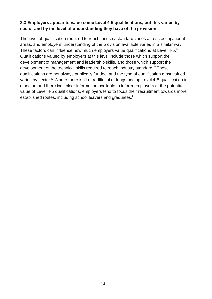## **3.3 Employers appear to value some Level 4-5 qualifications, but this varies by sector and by the level of understanding they have of the provision.**

The level of qualification required to reach industry standard varies across occupational areas, and employers' understanding of the provision available varies in a similar way. These factors can influence how much employers value qualifications at Level 4-5.<sup>iv</sup> Qualifications valued by employers at this level include those which support the development of management and leadership skills, and those which support the development of the technical skills required to reach industry standard.<sup>iv</sup> These qualifications are not always publically funded, and the type of qualification most valued varies by sector.<sup>iv</sup> Where there isn't a traditional or longstanding Level 4-5 qualification in a sector, and there isn't clear information available to inform employers of the potential value of Level 4-5 qualifications, employers tend to focus their recruitment towards more established routes, including school leavers and graduates.<sup>iv</sup>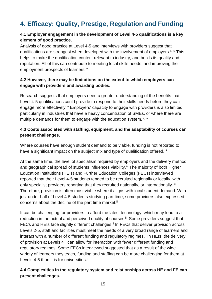# <span id="page-14-0"></span>**4. Efficacy: Quality, Prestige, Regulation and Funding**

# **4.1 Employer engagement in the development of Level 4-5 qualifications is a key element of good practice.**

Analysis of good practice at Level 4-5 and interviews with providers suggest that qualifications are strongest when developed with the involvement of employers.<sup>ii, iv</sup> This helps to make the qualification content relevant to industry, and builds its quality and reputation. All of this can contribute to meeting local skills needs, and improving the employment prospects of learners.<sup>iv</sup>

## **4.2 However, there may be limitations on the extent to which employers can engage with providers and awarding bodies.**

Research suggests that employers need a greater understanding of the benefits that Level 4-5 qualifications could provide to respond to their skills needs before they can engage more effectively.<sup>iv</sup> Employers' capacity to engage with providers is also limited particularly in industries that have a heavy concentration of SMEs, or where there are multiple demands for them to engage with the education system. ii, iv

# **4.3 Costs associated with staffing, equipment, and the adaptability of courses can present challenges.**

Where courses have enough student demand to be viable, funding is not reported to have a significant impact on the subject mix and type of qualification offered. ii

At the same time, the level of specialism required by employers and the delivery method and geographical spread of students influences viability.<sup>iv</sup> The majority of both Higher Education Institutions (HEIs) and Further Education Colleges (FECs) interviewed reported that their Level 4-5 students tended to be recruited regionally or locally, with only specialist providers reporting that they recruited nationally, or internationally. ii Therefore, provision is often most viable where it aligns with local student demand. With just under half of Level 4-5 students studying part time, some providers also expressed concerns about the decline of the part time market.<sup>ii</sup>

It can be challenging for providers to afford the latest technology, which may lead to a reduction in the actual and perceived quality of courses ii. Some providers suggest that FECs and HEIs face slightly different challenges.<sup>ii</sup> In FECs that deliver provision across Levels 2-5, staff and facilities must meet the needs of a very broad range of learners and interact with a number of different funding and regulatory regimes. In HEIs, the delivery of provision at Levels 4+ can allow for interaction with fewer different funding and regulatory regimes. Some FECs interviewed suggested that as a result of the wide variety of learners they teach, funding and staffing can be more challenging for them at Levels 4-5 than it is for universities.<sup>ii</sup>

# **4.4 Complexities in the regulatory system and relationships across HE and FE can present challenges.**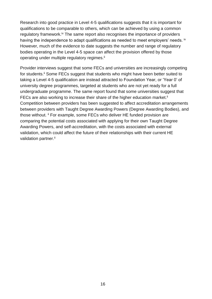Research into good practice in Level 4-5 qualifications suggests that it is important for qualifications to be comparable to others, which can be achieved by using a common regulatory framework.<sup>iv</sup> The same report also recognises the importance of providers having the independence to adapt qualifications as needed to meet employers' needs. <sup>iv</sup> However, much of the evidence to date suggests the number and range of regulatory bodies operating in the Level 4-5 space can affect the provision offered by those operating under multiple regulatory regimes.<sup>ii</sup>

Provider interviews suggest that some FECs and universities are increasingly competing for students.<sup>ii</sup> Some FECs suggest that students who might have been better suited to taking a Level 4-5 qualification are instead attracted to Foundation Year, or 'Year 0' of university degree programmes, targeted at students who are not yet ready for a full undergraduate programme. The same report found that some universities suggest that FECs are also working to increase their share of the higher education market.<sup>ii</sup> Competition between providers has been suggested to affect accreditation arrangements between providers with Taught Degree Awarding Powers (Degree Awarding Bodies), and those without. <sup>ii</sup> For example, some FECs who deliver HE funded provision are comparing the potential costs associated with applying for their own Taught Degree Awarding Powers, and self-accreditation, with the costs associated with external validation, which could affect the future of their relationships with their current HE validation partner.<sup>ii</sup>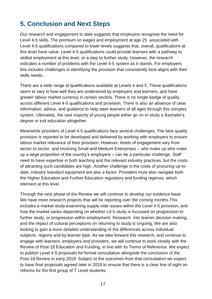# <span id="page-16-0"></span>**5. Conclusion and Next Steps**

Our research and engagement to date suggests that employers recognise the need for Level 4-5 skills. The premium on wages and employment at age 25 associated with Level 4-5 qualifications compared to lower levels suggests that, overall, qualifications at this level have value. Level 4-5 qualifications could provide learners with a pathway to skilled employment at this level, or a step to further study. However, the research indicates a number of problems with the Level 4-5 system as it stands. For employers this includes challenges in identifying the provision that consistently best aligns with their skills needs.

There are a wide range of qualifications available at Levels 4 and 5. These qualifications seem to vary in how well they are understood by employers and learners, and have greater labour market currency in certain sectors. There is no single badge of quality across different Level 4-5 qualifications and provision. There is also an absence of clear information, advice, and guidance to help steer learners of all ages through this complex system. Ultimately, the vast majority of young people either go on to study a Bachelor's degree or exit education altogether.

Meanwhile providers of Level 4-5 qualifications face several challenges. The best quality provision is reported to be developed and delivered by working with employers to ensure labour market relevance of their provision. However, levels of engagement vary from sector to sector, and involving Small and Medium Enterprises – who make up who make up a large proportion of the country's employers – can be a particular challenge. Staff need to have expertise in both teaching and the relevant industry practices, but the costs of attracting such candidates are high. Another challenge is the costs of procuring up-todate, industry standard equipment are also a factor. Providers must also navigate both the Higher Education and Further Education regulatory and funding regimes, which intersect at this level.

Through the next phase of the Review we will continue to develop our evidence base. We have more research projects that will be reporting over the coming months. This includes a market study examining supply-side issues within the Level 4-5 provision, and how the market varies depending on whether L4-5 study is focussed on progression to further study, or progression within employment. Research into learner decision making, and the impact of cultural perceptions on returning to study is ongoing. We are also looking to gain a more detailed understanding of the differences across individual subjects, regions and by learner type. As we take forward this research, and continue to engage with learners, employers and providers, we will continue to work closely with the Review of Post-18 Education and Funding, in line with its Terms of Reference. We expect to publish Level 4-5 proposals for formal consultation alongside the conclusion of the Post-18 Review in early 2019. Subject to the outcomes from that consultation we expect to have final proposals agreed later in 2019 to ensure that there is a clear line of sight on reforms for the first group of T Level students.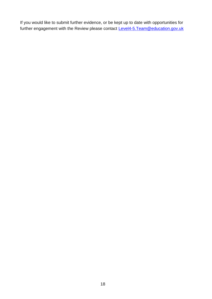If you would like to submit further evidence, or be kept up to date with opportunities for further engagement with the Review please contact Level4-5. Team@education.gov.uk